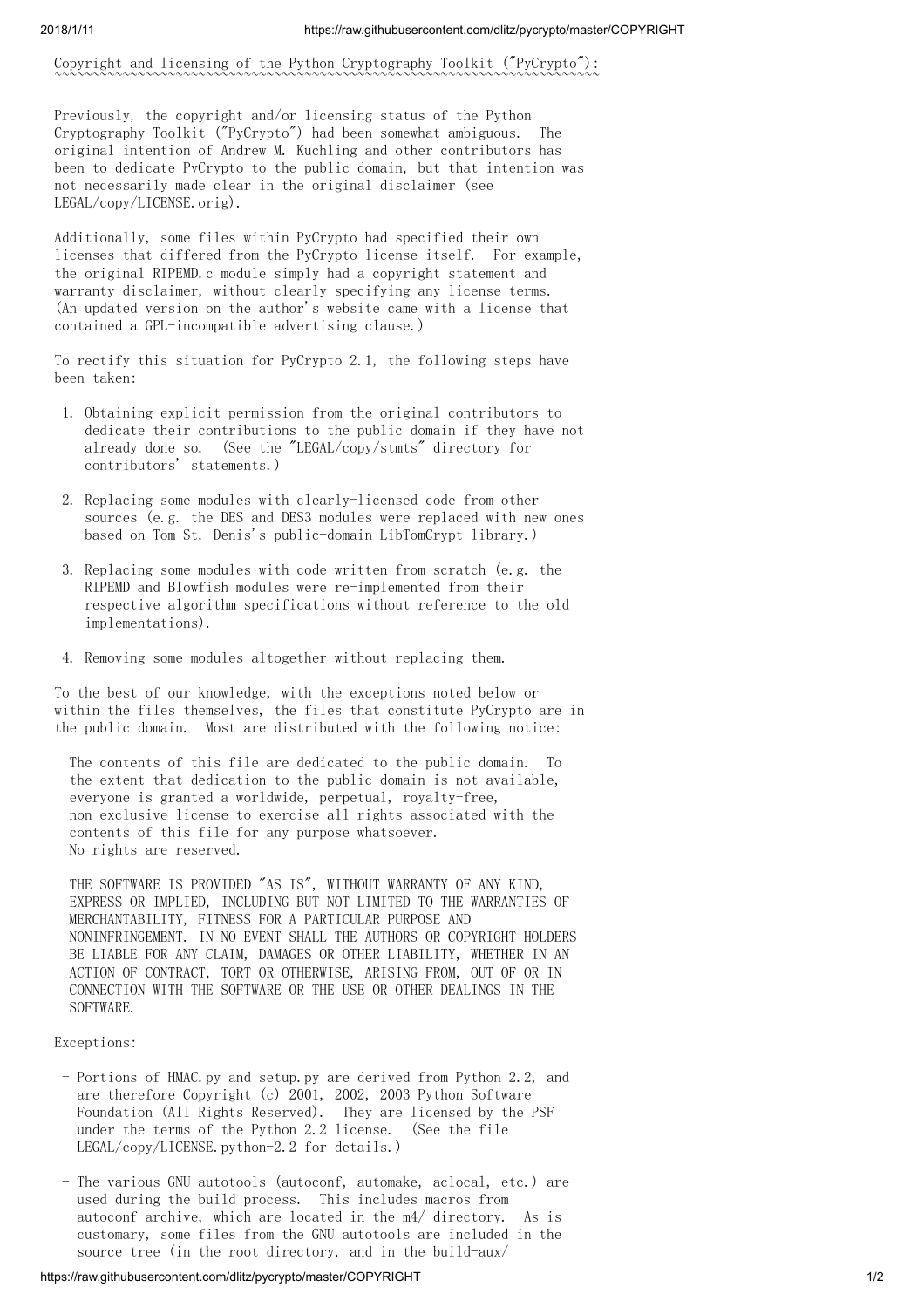Copyright and licensing of the Python Cryptography Toolkit ("PyCrypto"): ~~~~~~~~~~~~~~~~~~~~~~~~~~~~~~~~~~~~~~~~~~~~~~~~~~~~~~~~~~~~~~~~~~~~~~~~

Previously, the copyright and/or licensing status of the Python Cryptography Toolkit ("PyCrypto") had been somewhat ambiguous. The original intention of Andrew M. Kuchling and other contributors has been to dedicate PyCrypto to the public domain, but that intention was not necessarily made clear in the original disclaimer (see LEGAL/copy/LICENSE.orig).

Additionally, some files within PyCrypto had specified their own licenses that differed from the PyCrypto license itself. For example, the original RIPEMD.c module simply had a copyright statement and warranty disclaimer, without clearly specifying any license terms. (An updated version on the author's website came with a license that contained a GPL-incompatible advertising clause.)

To rectify this situation for PyCrypto 2.1, the following steps have been taken:

- 1. Obtaining explicit permission from the original contributors to dedicate their contributions to the public domain if they have not already done so. (See the "LEGAL/copy/stmts" directory for contributors' statements.)
- 2. Replacing some modules with clearly-licensed code from other sources (e.g. the DES and DES3 modules were replaced with new ones based on Tom St. Denis's public-domain LibTomCrypt library.)
- 3. Replacing some modules with code written from scratch (e.g. the RIPEMD and Blowfish modules were re-implemented from their respective algorithm specifications without reference to the old implementations).
- 4. Removing some modules altogether without replacing them.

To the best of our knowledge, with the exceptions noted below or within the files themselves, the files that constitute PyCrypto are in the public domain. Most are distributed with the following notice:

The contents of this file are dedicated to the public domain. To the extent that dedication to the public domain is not available, everyone is granted a worldwide, perpetual, royalty-free, non-exclusive license to exercise all rights associated with the contents of this file for any purpose whatsoever. No rights are reserved.

THE SOFTWARE IS PROVIDED "AS IS", WITHOUT WARRANTY OF ANY KIND, EXPRESS OR IMPLIED, INCLUDING BUT NOT LIMITED TO THE WARRANTIES OF MERCHANTABILITY, FITNESS FOR A PARTICULAR PURPOSE AND NONINFRINGEMENT. IN NO EVENT SHALL THE AUTHORS OR COPYRIGHT HOLDERS BE LIABLE FOR ANY CLAIM, DAMAGES OR OTHER LIABILITY, WHETHER IN AN ACTION OF CONTRACT, TORT OR OTHERWISE, ARISING FROM, OUT OF OR IN CONNECTION WITH THE SOFTWARE OR THE USE OR OTHER DEALINGS IN THE SOFTWARE.

## Exceptions:

- Portions of HMAC.py and setup.py are derived from Python 2.2, and are therefore Copyright (c) 2001, 2002, 2003 Python Software Foundation (All Rights Reserved). They are licensed by the PSF under the terms of the Python 2.2 license. (See the file LEGAL/copy/LICENSE.python-2.2 for details.)
- The various GNU autotools (autoconf, automake, aclocal, etc.) are used during the build process. This includes macros from autoconf-archive, which are located in the m4/ directory. As is customary, some files from the GNU autotools are included in the source tree (in the root directory, and in the build-aux/